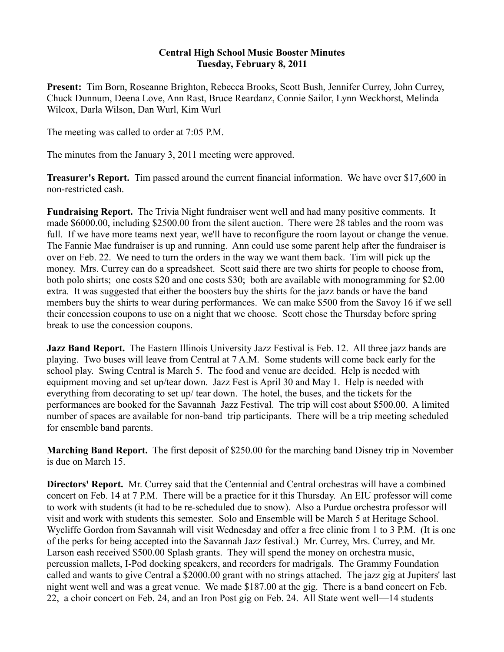## **Central High School Music Booster Minutes Tuesday, February 8, 2011**

**Present:** Tim Born, Roseanne Brighton, Rebecca Brooks, Scott Bush, Jennifer Currey, John Currey, Chuck Dunnum, Deena Love, Ann Rast, Bruce Reardanz, Connie Sailor, Lynn Weckhorst, Melinda Wilcox, Darla Wilson, Dan Wurl, Kim Wurl

The meeting was called to order at 7:05 P.M.

The minutes from the January 3, 2011 meeting were approved.

**Treasurer's Report.** Tim passed around the current financial information. We have over \$17,600 in non-restricted cash.

**Fundraising Report.** The Trivia Night fundraiser went well and had many positive comments. It made \$6000.00, including \$2500.00 from the silent auction. There were 28 tables and the room was full. If we have more teams next year, we'll have to reconfigure the room layout or change the venue. The Fannie Mae fundraiser is up and running. Ann could use some parent help after the fundraiser is over on Feb. 22. We need to turn the orders in the way we want them back. Tim will pick up the money. Mrs. Currey can do a spreadsheet. Scott said there are two shirts for people to choose from, both polo shirts; one costs \$20 and one costs \$30; both are available with monogramming for \$2.00 extra. It was suggested that either the boosters buy the shirts for the jazz bands or have the band members buy the shirts to wear during performances. We can make \$500 from the Savoy 16 if we sell their concession coupons to use on a night that we choose. Scott chose the Thursday before spring break to use the concession coupons.

**Jazz Band Report.** The Eastern Illinois University Jazz Festival is Feb. 12. All three jazz bands are playing. Two buses will leave from Central at 7 A.M. Some students will come back early for the school play. Swing Central is March 5. The food and venue are decided. Help is needed with equipment moving and set up/tear down. Jazz Fest is April 30 and May 1. Help is needed with everything from decorating to set up/ tear down. The hotel, the buses, and the tickets for the performances are booked for the Savannah Jazz Festival. The trip will cost about \$500.00. A limited number of spaces are available for non-band trip participants. There will be a trip meeting scheduled for ensemble band parents.

**Marching Band Report.** The first deposit of \$250.00 for the marching band Disney trip in November is due on March 15.

**Directors' Report.** Mr. Currey said that the Centennial and Central orchestras will have a combined concert on Feb. 14 at 7 P.M. There will be a practice for it this Thursday. An EIU professor will come to work with students (it had to be re-scheduled due to snow). Also a Purdue orchestra professor will visit and work with students this semester. Solo and Ensemble will be March 5 at Heritage School. Wycliffe Gordon from Savannah will visit Wednesday and offer a free clinic from 1 to 3 P.M. (It is one of the perks for being accepted into the Savannah Jazz festival.) Mr. Currey, Mrs. Currey, and Mr. Larson eash received \$500.00 Splash grants. They will spend the money on orchestra music, percussion mallets, I-Pod docking speakers, and recorders for madrigals. The Grammy Foundation called and wants to give Central a \$2000.00 grant with no strings attached. The jazz gig at Jupiters' last night went well and was a great venue. We made \$187.00 at the gig. There is a band concert on Feb. 22, a choir concert on Feb. 24, and an Iron Post gig on Feb. 24. All State went well—14 students